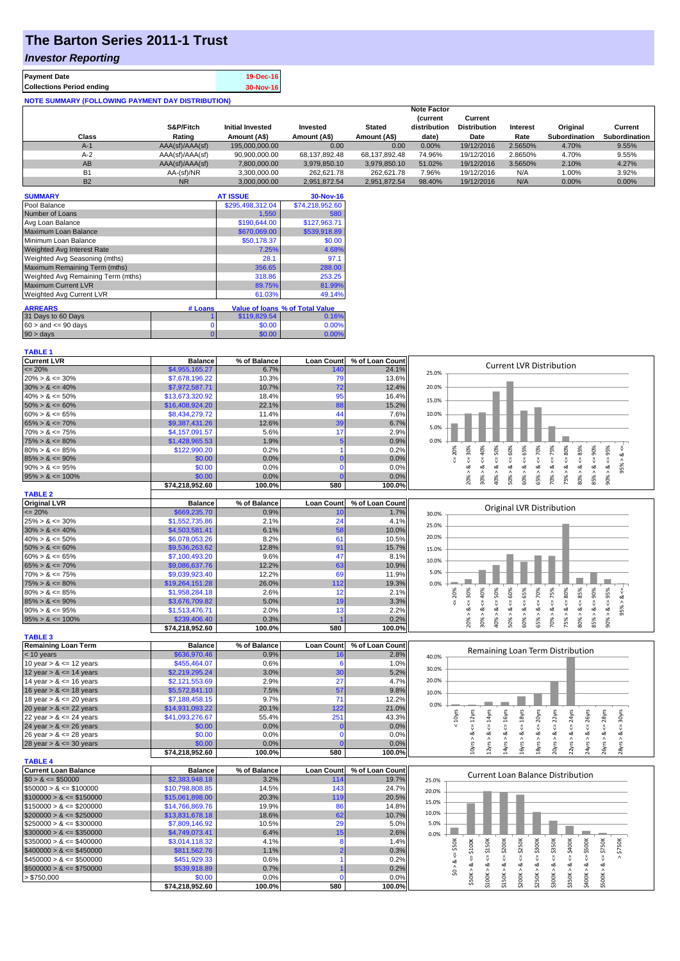# **The Barton Series 2011-1 Trust**

## *Investor Reporting*

| <b>Payment Date</b>                                      | 19-Dec-16 |
|----------------------------------------------------------|-----------|
| <b>Collections Period ending</b>                         | 30-Nov-16 |
| <b>NOTE SUMMARY (FOLLOWING PAYMENT DAY DISTRIBUTION)</b> |           |

|           |                 |                         |               |               | <b>Note Factor</b> |                     |          |               |                      |
|-----------|-----------------|-------------------------|---------------|---------------|--------------------|---------------------|----------|---------------|----------------------|
|           |                 |                         |               |               | <b>Current</b>     | Current             |          |               |                      |
|           | S&P/Fitch       | <b>Initial Invested</b> | Invested      | <b>Stated</b> | distribution       | <b>Distribution</b> | Interest | Original      | Current              |
| Class     | Rating          | Amount (A\$)            | Amount (A\$)  | Amount (A\$)  | date)              | Date                | Rate     | Subordination | <b>Subordination</b> |
| $A-1$     | AAA(sf)/AAA(sf) | 195.000.000.00          | 0.00          | 0.00          | $0.00\%$           | 19/12/2016          | 2.5650%  | 4.70%         | 9.55%                |
| $A-2$     | AAA(sf)/AAA(sf) | 90,900,000.00           | 68.137.892.48 | 68.137.892.48 | 74.96%             | 19/12/2016          | 2.8650%  | 4.70%         | 9.55%                |
| AB        | AAA(sf)/AAA(sf) | 7,800,000.00            | 3.979.850.10  | 3.979.850.10  | 51.02%             | 19/12/2016          | 3.5650%  | 2.10%         | 4.27%                |
| <b>B1</b> | AA-(sf)/NR      | 3.300.000.00            | 262.621.78    | 262.621.78    | 7.96%              | 19/12/2016          | N/A      | 1.00%         | 3.92%                |
| <b>B2</b> | <b>NR</b>       | 3.000.000.00            | 2.951.872.54  | 2.951.872.54  | 98.40%             | 19/12/2016          | N/A      | 0.00%         | $0.00\%$             |

| <b>SUMMARY</b>                     |         | <b>AT ISSUE</b>  | 30-Nov-16                              |
|------------------------------------|---------|------------------|----------------------------------------|
| Pool Balance                       |         | \$295,498,312.04 | \$74,218,952.60                        |
| Number of Loans                    |         | 1,550            | 580                                    |
| Avg Loan Balance                   |         | \$190,644.00     | \$127,963.71                           |
| Maximum Loan Balance               |         | \$670,069.00     | \$539,918.89                           |
| Minimum Loan Balance               |         | \$50,178.37      | \$0.00                                 |
| <b>Weighted Avg Interest Rate</b>  |         | 7.25%            | 4.68%                                  |
| Weighted Avg Seasoning (mths)      |         | 28.1             | 97.1                                   |
| Maximum Remaining Term (mths)      |         | 356.65           | 288.00                                 |
| Weighted Avg Remaining Term (mths) |         | 318.86           | 253.25                                 |
| <b>Maximum Current LVR</b>         |         | 89.75%           | 81.99%                                 |
| Weighted Avg Current LVR           |         | 61.03%           | 49.14%                                 |
| <b>ARREARS</b>                     | # Loans |                  | <b>Value of loans % of Total Value</b> |
| 31 Days to 60 Days                 |         | \$119,829.54     | 0.16%                                  |
| $60 >$ and $\leq 90$ days          | 0       | \$0.00           | 0.00%                                  |
| $90 > \text{days}$                 | 0       | \$0.00           | 0.00%                                  |

#### **TABLE 1**

| <b>Current LVR</b>                                                                                                                                                                                          | <b>Balance</b>                 | % of Balance    | <b>Loan Count</b> | % of Loan Count | <b>Current LVR Distribution</b>                                                        |
|-------------------------------------------------------------------------------------------------------------------------------------------------------------------------------------------------------------|--------------------------------|-----------------|-------------------|-----------------|----------------------------------------------------------------------------------------|
| $\leq$ 20%                                                                                                                                                                                                  | \$4,955,165.27                 | 6.7%            | 140               | 24.1%           | 25.0%                                                                                  |
| $20\% > 8 \le 30\%$                                                                                                                                                                                         | \$7,678,196.22                 | 10.3%           | 79                | 13.6%           |                                                                                        |
| $30\% > 8 \le 40\%$                                                                                                                                                                                         | \$7,972,587.71                 | 10.7%           | 72                | 12.4%           | 20.0%                                                                                  |
| $40\% > 8 \le 50\%$                                                                                                                                                                                         | \$13,673,320.92                | 18.4%           | 95                | 16.4%           | 15.0%                                                                                  |
| $50\% > 8 \le 60\%$                                                                                                                                                                                         | \$16,408,924.20                | 22.1%           | 88                | 15.2%           |                                                                                        |
| $60\% > 8 \le 65\%$                                                                                                                                                                                         | \$8,434,279.72                 | 11.4%           | 44                | 7.6%            | 10.0%                                                                                  |
| $65\% > 8 \le 70\%$                                                                                                                                                                                         | \$9,387,431.26                 | 12.6%           | 39                | 6.7%            | 5.0%                                                                                   |
| $70\% > 8 \le 75\%$                                                                                                                                                                                         | \$4.157.091.57                 | 5.6%            | 17                | 2.9%            |                                                                                        |
| $75\% > 8 \le 80\%$                                                                                                                                                                                         | \$1,428,965.53                 | 1.9%            |                   | 0.9%            | 0.0%                                                                                   |
| $80\% > 8 \le 85\%$                                                                                                                                                                                         | \$122,990.20                   | 0.2%            |                   | 0.2%            | 30%<br>40%<br>90%<br>95%<br>60%<br>65%<br>75%<br>80%<br>85%<br>50%<br>20%<br>70%       |
| $85\% > 8 \le 90\%$                                                                                                                                                                                         | \$0.00                         | 0.0%            |                   | 0.0%            |                                                                                        |
| $90\% > 8 \le 95\%$                                                                                                                                                                                         | \$0.00                         | 0.0%            |                   | 0.0%            | 5%<br>οă<br>$\infty$<br>o2<br>ەە<br>62<br>Λ<br>$\lambda$<br>$\lambda$<br>$\sigma$<br>٨ |
| $95\% > 8 \le 100\%$                                                                                                                                                                                        | \$0.00                         | 0.0%            |                   | 0.0%            | 70%<br>75%<br>85%<br>20%<br>30%<br>50%<br>40%<br>60%<br>65%<br>80%<br>90%              |
|                                                                                                                                                                                                             | \$74,218,952.60                | 100.0%          | 580               | 100.0%          |                                                                                        |
| <b>TABLE 2</b>                                                                                                                                                                                              |                                |                 |                   |                 |                                                                                        |
| <b>Original LVR</b>                                                                                                                                                                                         | <b>Balance</b>                 | % of Balance    | <b>Loan Count</b> | % of Loan Count | <b>Original LVR Distribution</b>                                                       |
| $\leq$ 20%                                                                                                                                                                                                  | \$669,235.70                   |                 |                   |                 |                                                                                        |
|                                                                                                                                                                                                             |                                | 0.9%            | 10                | 1.7%            | 30.0%                                                                                  |
|                                                                                                                                                                                                             | \$1,552,735.86                 | 2.1%            | 24                | 4.1%            |                                                                                        |
| $25\% > 8 \le 30\%$<br>$30\% > 8 \le 40\%$                                                                                                                                                                  | \$4,503,581.41                 | 6.1%            | 58                | 10.0%           | 25.0%                                                                                  |
|                                                                                                                                                                                                             | \$6,078,053.26                 | 8.2%            | 61                | 10.5%           | 20.0%                                                                                  |
|                                                                                                                                                                                                             | \$9,536,263.62                 | 12.8%           | 91                | 15.7%           | 15.0%                                                                                  |
|                                                                                                                                                                                                             | \$7,100,493.20                 | 9.6%            | 47                | 8.1%            |                                                                                        |
|                                                                                                                                                                                                             | \$9,086,637.76                 | 12.2%           | 63                | 10.9%           | 10.0%                                                                                  |
|                                                                                                                                                                                                             | \$9,039,923.40                 | 12.2%           | 69                | 11.9%           | 5.0%                                                                                   |
|                                                                                                                                                                                                             | \$19,264,151.28                | 26.0%           | 112               | 19.3%           | 0.0%                                                                                   |
|                                                                                                                                                                                                             | \$1,958,284.18                 | 2.6%            | 12                | 2.1%            |                                                                                        |
|                                                                                                                                                                                                             | \$3,676,709.82                 | 5.0%            | 19                | 3.3%            | 75%<br>60%<br>65%<br>80%<br>90%<br>95%<br>30%<br>40%<br>50%<br>70%<br>85%<br>20%       |
| $40\% > 8 \le 50\%$<br>$50\% > 8 \le 60\%$<br>$60\% > 8 \le 65\%$<br>$65\% > 8 \le 70\%$<br>$70\% > 8 \le 75\%$<br>$75\% > 8 \le 80\%$<br>$80\% > 8 \le 85\%$<br>$85\% > 8 \le 90\%$<br>$90\% > 8 \le 95\%$ | \$1,513,476.71                 | 2.0%            | 13                | 2.2%            | οă<br>οð<br>œ<br>٨                                                                     |
| $95\% > 8 \le 100\%$                                                                                                                                                                                        | \$239,406.40<br>674.240.052.00 | 0.3%<br>100.001 | EOO.              | 0.2%<br>100.001 | 70%<br>85%<br>30%<br>50%<br>20%<br>40%<br>65%<br>60%<br>75%<br>80%<br>90%              |

|                            | \$74.218.952.60 | 100.0%       | 580               | 100.0%          | $\sim$<br>$\sim$                          |
|----------------------------|-----------------|--------------|-------------------|-----------------|-------------------------------------------|
| <b>TABLE 3</b>             |                 |              |                   |                 |                                           |
| <b>Remaining Loan Term</b> | <b>Balance</b>  | % of Balance | <b>Loan Count</b> | % of Loan Count |                                           |
| $< 10$ years               | \$636,970.46    | 0.9%         |                   | 2.8%            | Remaining Loan Term Distribution<br>40.0% |
| 10 year $> 8 \le 12$ years | \$455,464.07    | 0.6%         |                   | 1.0%            |                                           |
| 12 year $> 8 \le 14$ years | \$2,219,295.24  | 3.0%         | 30                | 5.2%            | 30.0%                                     |
| 14 year $> 8 \le 16$ years | \$2,121,553.69  | 2.9%         | 27                | 4.7%            | 20.0%                                     |
| 16 year $> 8 \le 18$ years | \$5,572,841.10  | 7.5%         | 57                | 9.8%            | 10.0%                                     |
| 18 year $> 8 \le 20$ years | \$7,188,458.15  | 9.7%         |                   | 12.2%           |                                           |
| 20 year $> 8 \le 22$ years | \$14,931,093.22 | 20.1%        | 122               | 21.0%           | 0.0%                                      |
| 22 year $> 8 \le 24$ years | \$41,093,276.67 | 55.4%        | 251               | 43.3%           |                                           |
| 24 year $> 8 \le 26$ years | \$0.00          | $0.0\%$      |                   | 0.0%            |                                           |
| 26 year $> 8 \le 28$ years | \$0.00          | 0.0%         |                   | 0.0%            |                                           |
| 28 year $> 8 \le 30$ years | \$0.00          | $0.0\%$      |                   | 0.0%            |                                           |
|                            | \$74,218,952.60 | 100.0%       | 580               | 100.0%          | Ń<br>ನ                                    |

|                              | $91 + 710, 332.00$ | 100.070      | JUU        | 100.070         |                                   |  | ↽ |   |   |   |    |      |   | $\sim$ | $\sim$ | $\sim$        |  |
|------------------------------|--------------------|--------------|------------|-----------------|-----------------------------------|--|---|---|---|---|----|------|---|--------|--------|---------------|--|
| <b>TABLE 4</b>               |                    |              |            |                 |                                   |  |   |   |   |   |    |      |   |        |        |               |  |
| <b>Current Loan Balance</b>  | <b>Balance</b>     | % of Balance | Loan Count | % of Loan Count | Current Loan Balance Distribution |  |   |   |   |   |    |      |   |        |        |               |  |
| $$0 > 8 \leq $50000$         | \$2,383,948.18     | 3.2%         | 114        | 19.7%           | 25.0%                             |  |   |   |   |   |    |      |   |        |        |               |  |
| $\$50000 > 8 \leq \$100000$  | \$10,798,808.85    | 14.5%        | 143        | 24.7%           | 20.0%                             |  |   |   |   |   |    |      |   |        |        |               |  |
| $$100000 > 8 \leq $150000$   | \$15,061,898.00    | 20.3%        | 119        | 20.5%           |                                   |  |   |   |   |   |    |      |   |        |        |               |  |
| $\$150000 > 8 \leq \$200000$ | \$14,766,869.76    | 19.9%        | 86         | 14.8%           | 15.0%                             |  |   |   |   |   |    |      |   |        |        |               |  |
| $$200000 > 8 \leq $250000$   | \$13,831,678.18    | 18.6%        | 62         | 10.7%           | 10.0%                             |  |   |   |   |   |    |      |   |        |        |               |  |
| $\$250000 > 8 \leq \$300000$ | \$7,809,146.92     | 10.5%        | 29         | 5.0%            | 5.0%                              |  |   |   |   |   |    |      |   |        |        |               |  |
| $$300000 > 8 \leq $350000$   | \$4,749,073.41     | 6.4%         |            | 2.6%            | 0.0%                              |  |   |   |   |   |    |      |   |        |        |               |  |
| $\$350000 > 8 \leq \$400000$ | \$3,014,118.32     | 4.1%         |            | 1.4%            |                                   |  |   | ā | ă | š | š  | ក្តី |   | Š      | š      | $\frac{5}{2}$ |  |
| $$400000 > 8 \leq $450000$   | \$811,562.76       | 1.1%         |            | 0.3%            |                                   |  |   |   |   | x | చె |      |   |        |        |               |  |
| $\$450000 > 8 \leq \$500000$ | \$451,929.33       | 0.6%         |            | 0.2%            |                                   |  |   |   |   |   |    |      |   |        |        |               |  |
| $$500000 > 8 \leq $750000$   | \$539,918.89       | 0.7%         |            | 0.2%            |                                   |  |   |   |   |   |    |      |   |        |        |               |  |
| > \$750,000                  | \$0.00             | 0.0%         |            | 0.0%            |                                   |  |   |   |   |   |    |      | ≛ | õЖ     |        |               |  |
|                              | \$74.218.952.60    | 100.0%       | 580        | 100.0%          |                                   |  |   |   |   | ั |    |      |   |        |        |               |  |